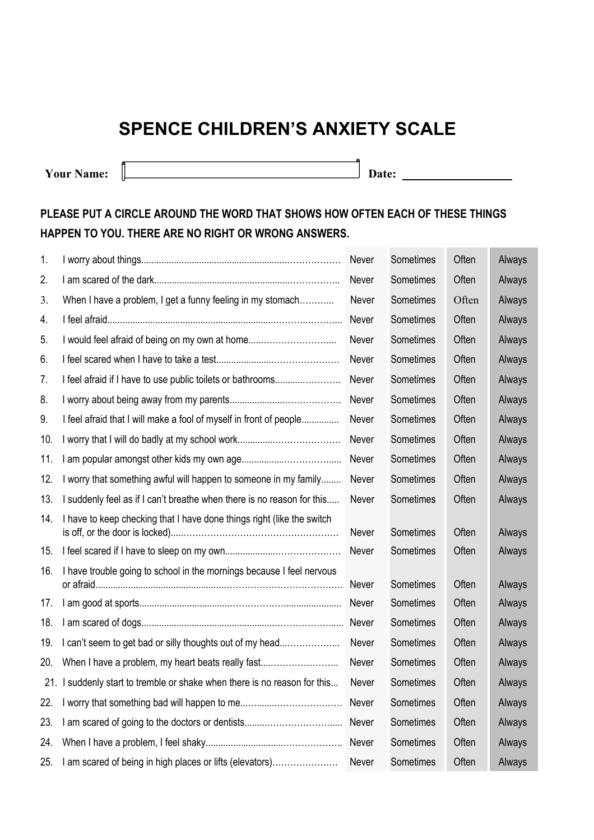## **SPENCE CHILDREN'S ANXIETY SCALE**

**Your Name: Date:** 

**Contract Contract** 

## **PLEASE PUT A CIRCLE AROUND THE WORD THAT SHOWS HOW OFTEN EACH OF THESE THINGS HAPPEN TO YOU. THERE ARE NO RIGHT OR WRONG ANSWERS.**

| 1.  |                                                                        | Never | Sometimes | Often | Always |
|-----|------------------------------------------------------------------------|-------|-----------|-------|--------|
| 2.  |                                                                        | Never | Sometimes | Often | Always |
| 3.  | When I have a problem, I get a funny feeling in my stomach             | Never | Sometimes | Often | Always |
| 4.  |                                                                        | Never | Sometimes | Often | Always |
| 5.  | I would feel afraid of being on my own at home                         | Never | Sometimes | Often | Always |
| 6.  |                                                                        | Never | Sometimes | Often | Always |
| 7.  | I feel afraid if I have to use public toilets or bathrooms             | Never | Sometimes | Often | Always |
| 8.  |                                                                        | Never | Sometimes | Often | Always |
| 9.  | I feel afraid that I will make a fool of myself in front of people     | Never | Sometimes | Often | Always |
| 10. |                                                                        | Never | Sometimes | Often | Always |
| 11. |                                                                        | Never | Sometimes | Often | Always |
| 12. | I worry that something awful will happen to someone in my family       | Never | Sometimes | Often | Always |
| 13. | I suddenly feel as if I can't breathe when there is no reason for this | Never | Sometimes | Often | Always |
| 14. | I have to keep checking that I have done things right (like the switch | Never | Sometimes | Often | Always |
| 15. |                                                                        | Never | Sometimes | Often | Always |
| 16. | I have trouble going to school in the mornings because I feel nervous  | Never | Sometimes | Often | Always |
| 17. |                                                                        | Never | Sometimes | Often | Always |
| 18. |                                                                        | Never | Sometimes | Often | Always |
| 19. | I can't seem to get bad or silly thoughts out of my head               | Never | Sometimes | Often | Always |
| 20. | When I have a problem, my heart beats really fast                      | Never | Sometimes | Often | Always |
| 21. | I suddenly start to tremble or shake when there is no reason for this  | Never | Sometimes | Often | Always |
| 22. |                                                                        | Never | Sometimes | Often | Always |
| 23. |                                                                        | Never | Sometimes | Often | Always |
| 24. |                                                                        | Never | Sometimes | Often | Always |
| 25. | I am scared of being in high places or lifts (elevators)               | Never | Sometimes | Often | Always |